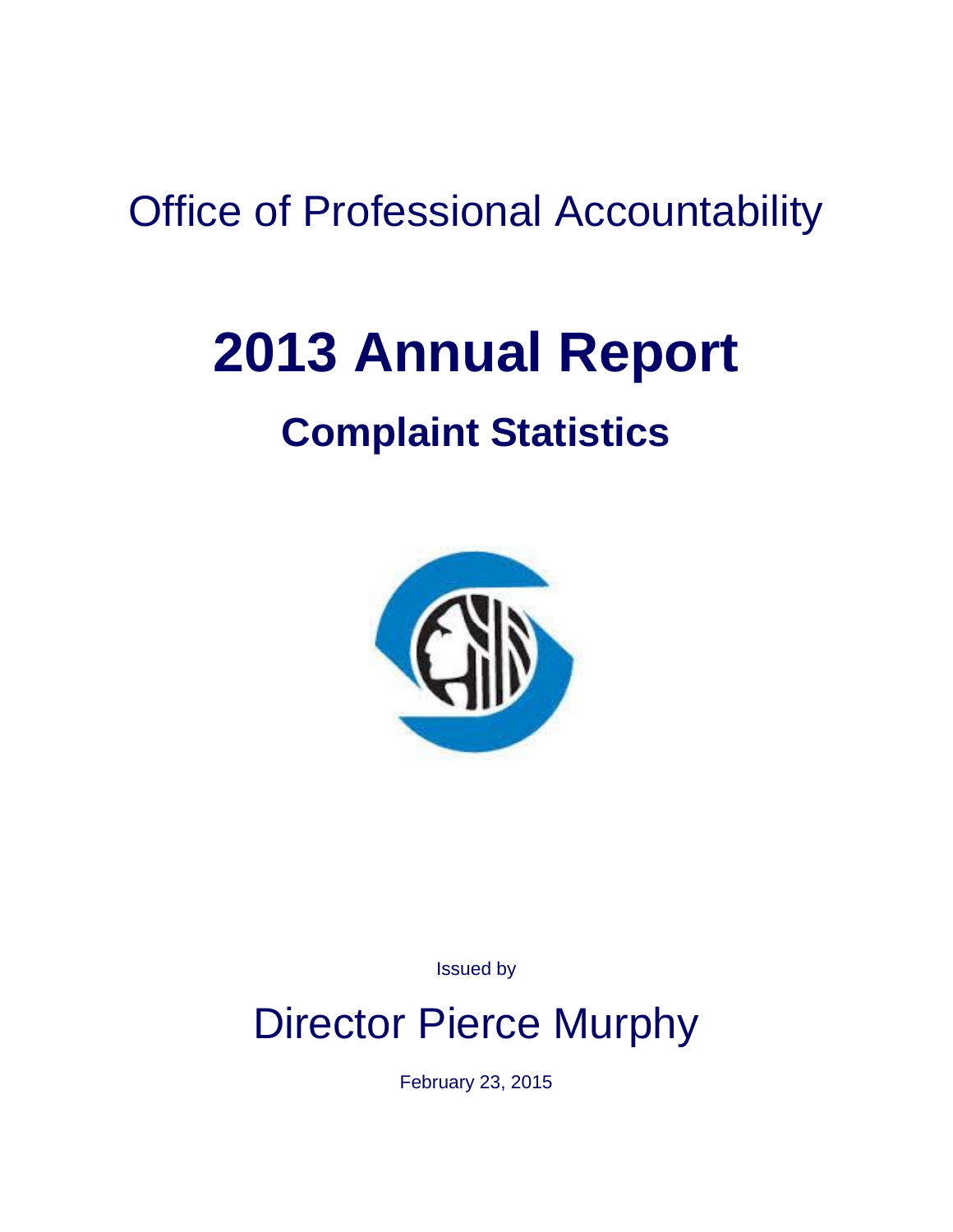# Office of Professional Accountability

# **2013 Annual Report**

# **Complaint Statistics**



Issued by

# Director Pierce Murphy

February 23, 2015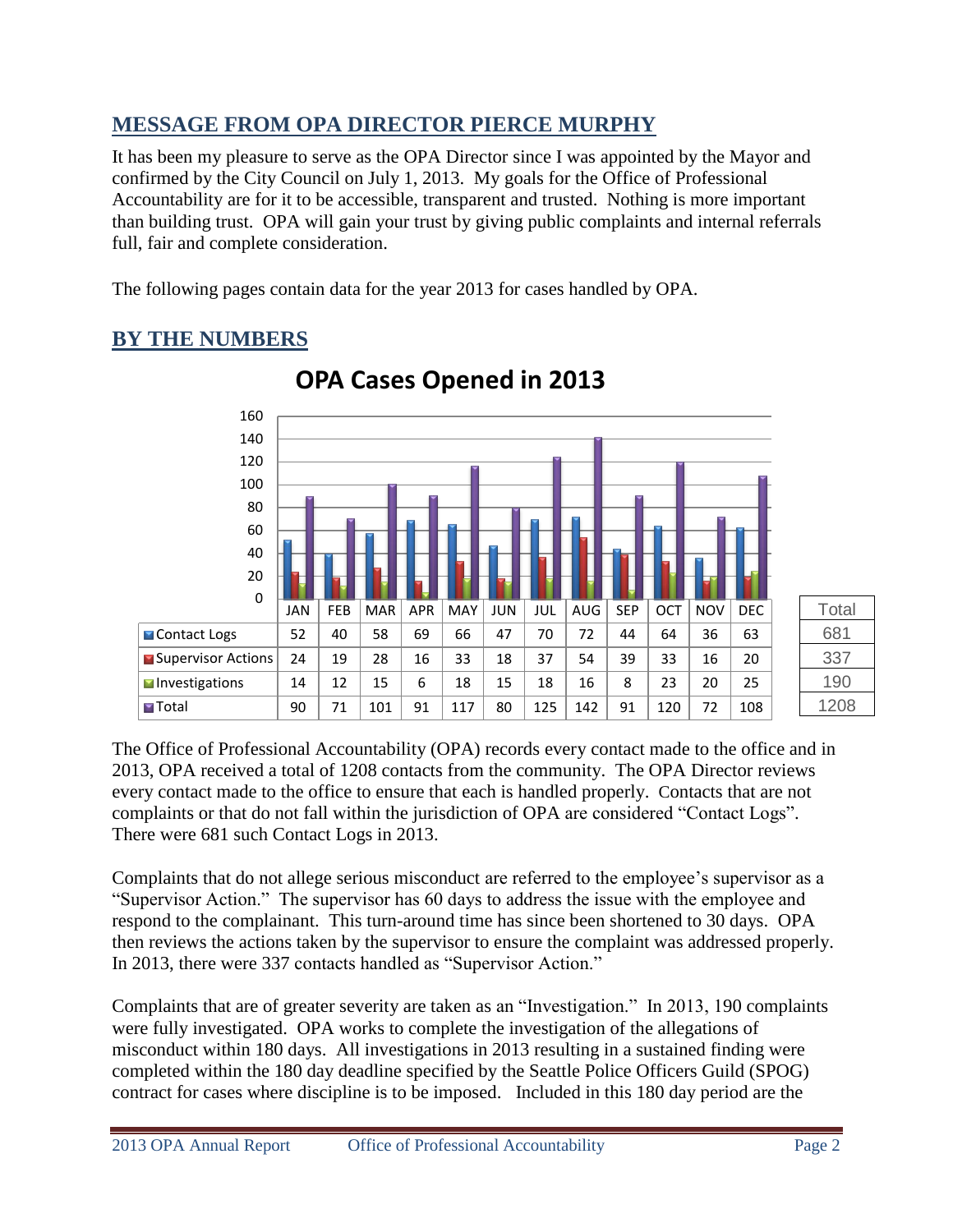# **MESSAGE FROM OPA DIRECTOR PIERCE MURPHY**

It has been my pleasure to serve as the OPA Director since I was appointed by the Mayor and confirmed by the City Council on July 1, 2013. My goals for the Office of Professional Accountability are for it to be accessible, transparent and trusted. Nothing is more important than building trust. OPA will gain your trust by giving public complaints and internal referrals full, fair and complete consideration.

The following pages contain data for the year 2013 for cases handled by OPA.

### **BY THE NUMBERS**



# **OPA Cases Opened in 2013**

The Office of Professional Accountability (OPA) records every contact made to the office and in 2013, OPA received a total of 1208 contacts from the community. The OPA Director reviews every contact made to the office to ensure that each is handled properly. Contacts that are not complaints or that do not fall within the jurisdiction of OPA are considered "Contact Logs". There were 681 such Contact Logs in 2013.

Complaints that do not allege serious misconduct are referred to the employee's supervisor as a "Supervisor Action." The supervisor has 60 days to address the issue with the employee and respond to the complainant. This turn-around time has since been shortened to 30 days. OPA then reviews the actions taken by the supervisor to ensure the complaint was addressed properly. In 2013, there were 337 contacts handled as "Supervisor Action."

Complaints that are of greater severity are taken as an "Investigation." In 2013, 190 complaints were fully investigated. OPA works to complete the investigation of the allegations of misconduct within 180 days. All investigations in 2013 resulting in a sustained finding were completed within the 180 day deadline specified by the Seattle Police Officers Guild (SPOG) contract for cases where discipline is to be imposed. Included in this 180 day period are the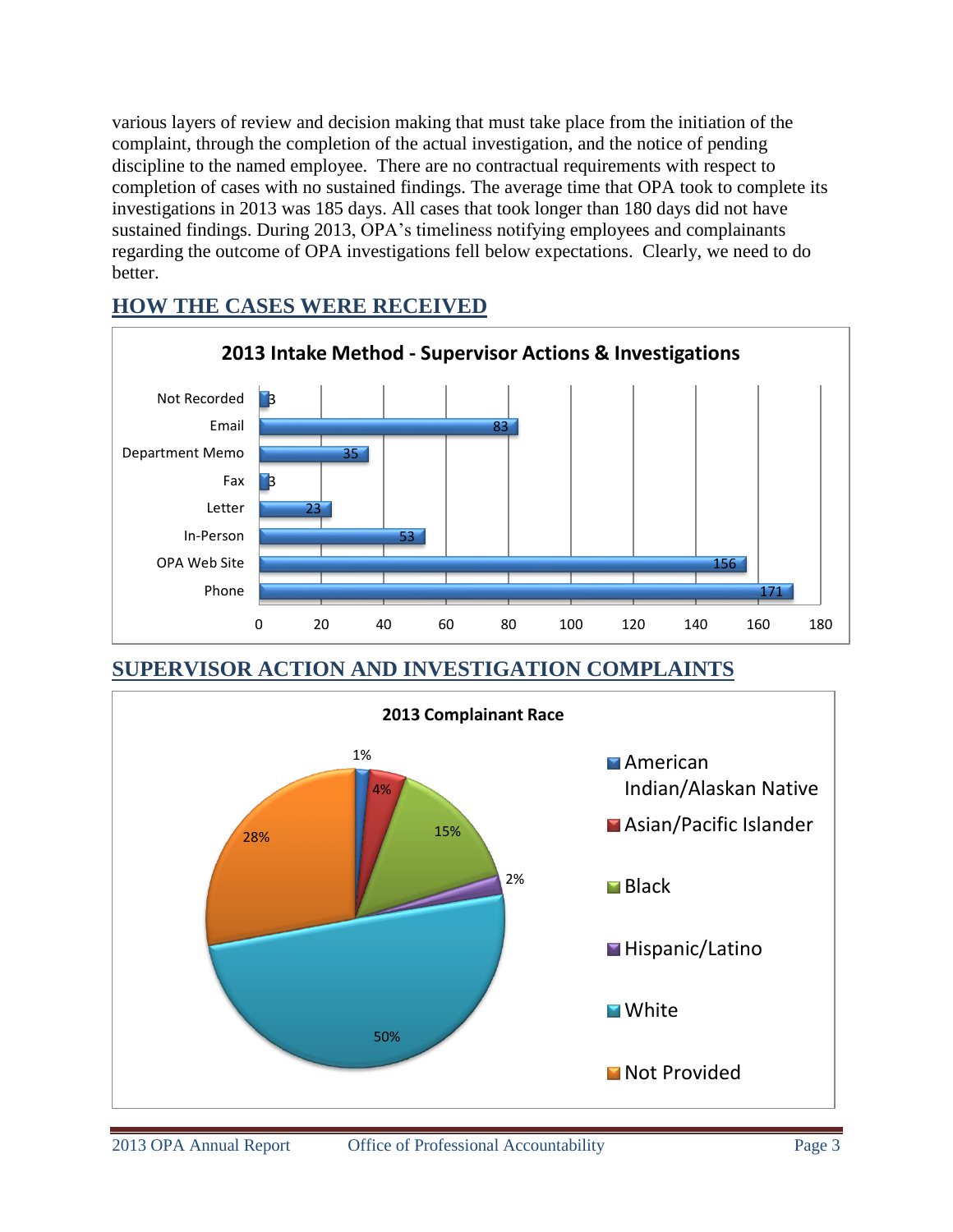various layers of review and decision making that must take place from the initiation of the complaint, through the completion of the actual investigation, and the notice of pending discipline to the named employee. There are no contractual requirements with respect to completion of cases with no sustained findings. The average time that OPA took to complete its investigations in 2013 was 185 days. All cases that took longer than 180 days did not have sustained findings. During 2013, OPA's timeliness notifying employees and complainants regarding the outcome of OPA investigations fell below expectations. Clearly, we need to do better.



#### **HOW THE CASES WERE RECEIVED**

**SUPERVISOR ACTION AND INVESTIGATION COMPLAINTS**

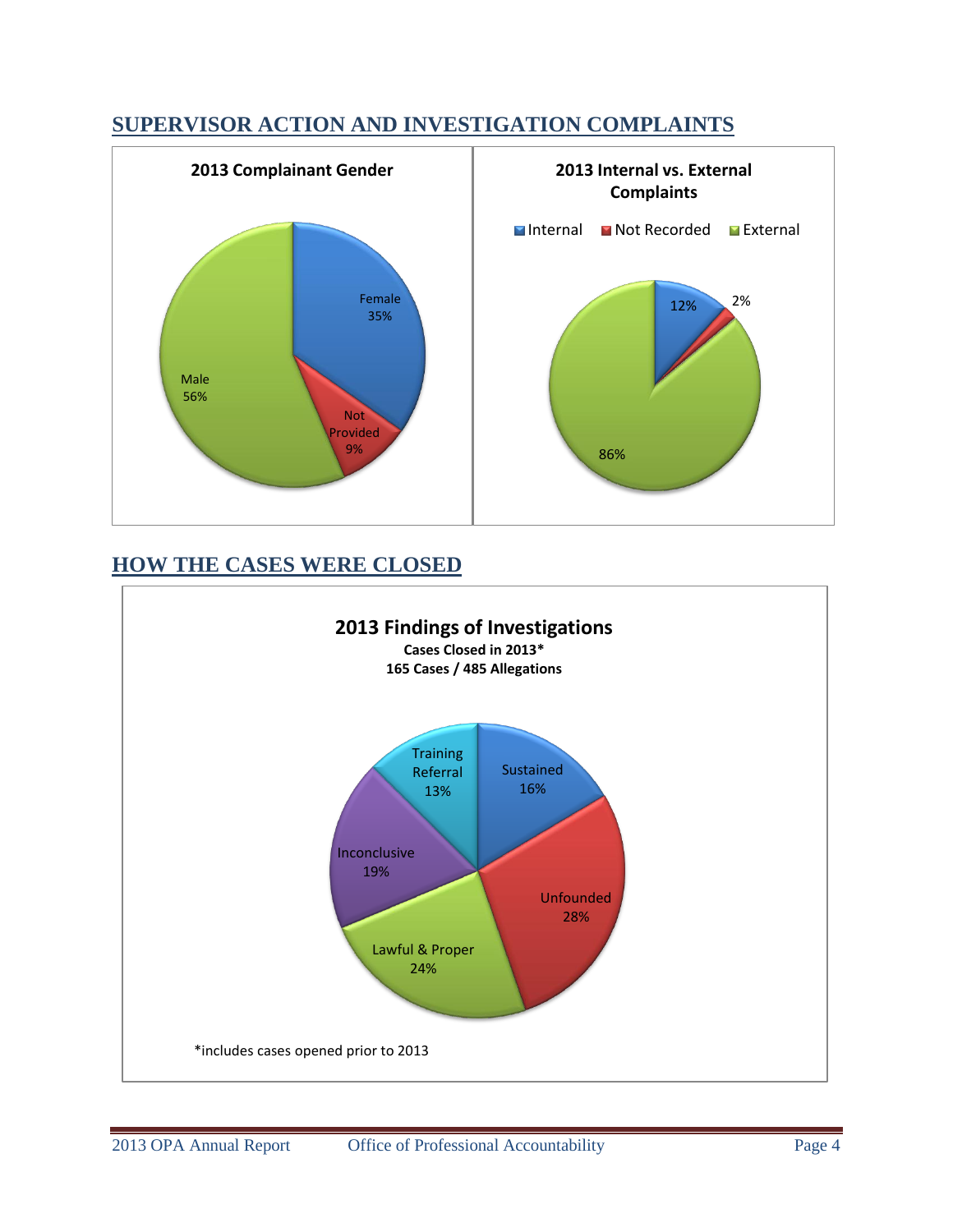### **SUPERVISOR ACTION AND INVESTIGATION COMPLAINTS**



# **HOW THE CASES WERE CLOSED**